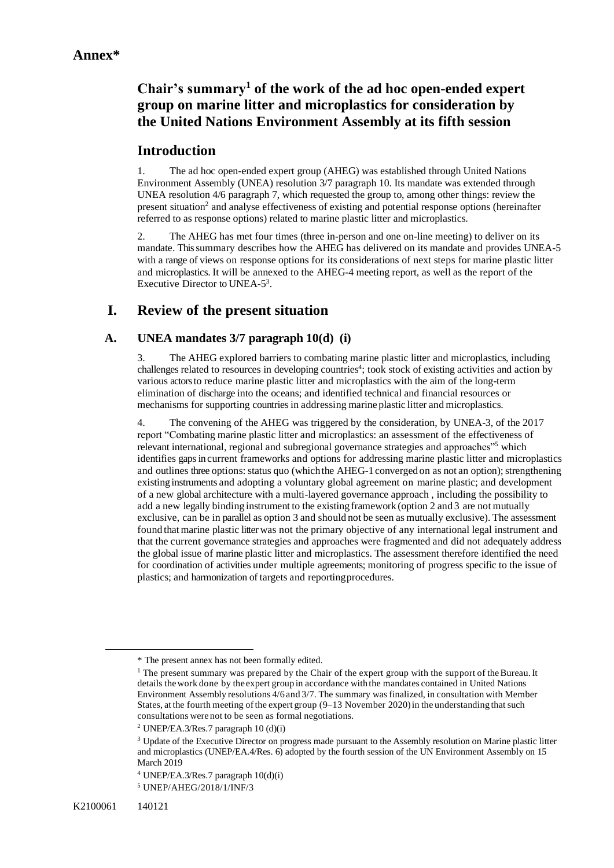# **Chair's summary<sup>1</sup> of the work of the ad hoc open-ended expert group on marine litter and microplastics for consideration by the United Nations Environment Assembly at its fifth session**

### **Introduction**

1. The ad hoc open-ended expert group (AHEG) was established through United Nations Environment Assembly (UNEA) resolution 3/7 paragraph 10. Its mandate was extended through UNEA resolution 4/6 paragraph 7, which requested the group to, among other things: review the present situation<sup>2</sup> and analyse effectiveness of existing and potential response options (hereinafter referred to as response options) related to marine plastic litter and microplastics.

2. The AHEG has met four times (three in-person and one on-line meeting) to deliver on its mandate. This summary describes how the AHEG has delivered on its mandate and provides UNEA-5 with a range of views on response options for its considerations of next steps for marine plastic litter and microplastics. It will be annexed to the AHEG-4 meeting report, as well as the report of the Executive Director to UNEA-5<sup>3</sup>.

## **I. Review of the present situation**

### **A. UNEA mandates 3/7 paragraph 10(d) (i)**

3. The AHEG explored barriers to combating marine plastic litter and microplastics, including challenges related to resources in developing countries<sup>4</sup>; took stock of existing activities and action by various actors to reduce marine plastic litter and microplastics with the aim of the long-term elimination of discharge into the oceans; and identified technical and financial resources or mechanisms for supporting countries in addressing marine plastic litter and microplastics.

4. The convening of the AHEG was triggered by the consideration, by UNEA-3, of the 2017 report "Combating marine plastic litter and microplastics: an assessment of the effectiveness of relevant international, regional and subregional governance strategies and approaches<sup>15</sup> which identifies gaps in current frameworks and options for addressing marine plastic litter and microplastics and outlines three options: status quo (which the AHEG-1 converged on as not an option); strengthening existinginstruments and adopting a voluntary global agreement on marine plastic; and development of a new global architecture with a multi-layered governance approach , including the possibility to add a new legally binding instrument to the existing framework (option 2 and 3 are not mutually exclusive, can be in parallel as option 3 and should not be seen as mutually exclusive). The assessment found thatmarine plastic litter was not the primary objective of any international legal instrument and that the current governance strategies and approaches were fragmented and did not adequately address the global issue of marine plastic litter and microplastics. The assessment therefore identified the need for coordination of activities under multiple agreements; monitoring of progress specific to the issue of plastics; and harmonization of targets and reportingprocedures.

<sup>\*</sup> The present annex has not been formally edited.

<sup>&</sup>lt;sup>1</sup> The present summary was prepared by the Chair of the expert group with the support of the Bureau. It details thework done by the expert group in accordance with the mandates contained in United Nations Environment Assembly resolutions 4/6 and 3/7. The summary was finalized, in consultation with Member States, at the fourth meeting of the expert group  $(9-13$  November 2020) in the understanding that such consultations were not to be seen as formal negotiations.

<sup>2</sup> UNEP/EA.3/Res.7 paragraph 10 (d)(i)

<sup>&</sup>lt;sup>3</sup> Update of the Executive Director on progress made pursuant to the Assembly resolution on Marine plastic litter and microplastics (UNEP/EA.4/Res. 6) adopted by the fourth session of the UN Environment Assembly on 15 March 2019

 $4$  UNEP/EA.3/Res.7 paragraph  $10(d)(i)$ 

<sup>5</sup> UNEP/AHEG/2018/1/INF/3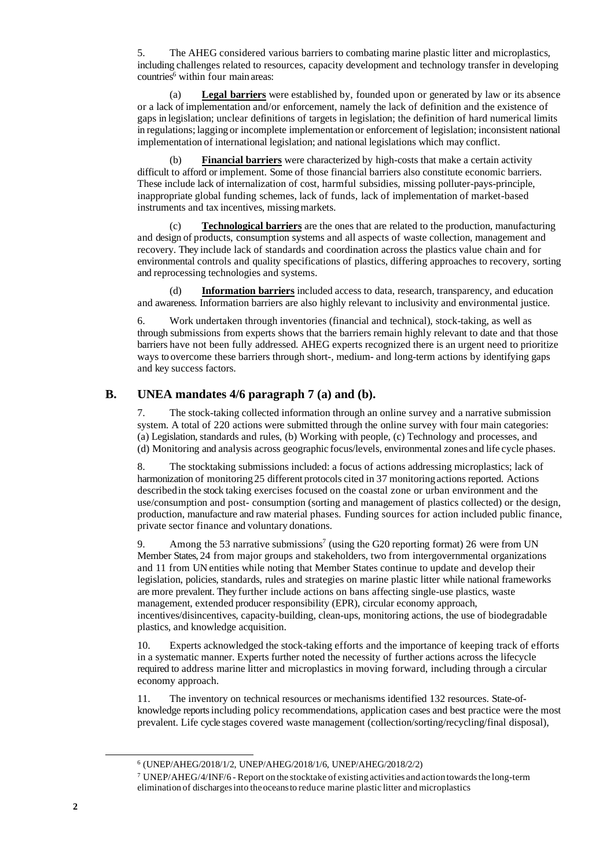5. The AHEG considered various barriers to combating marine plastic litter and microplastics, including challenges related to resources, capacity development and technology transfer in developing countries<sup>6</sup> within four main areas:

(a) **Legal barriers** were established by, founded upon or generated by law or its absence or a lack of implementation and/or enforcement, namely the lack of definition and the existence of gaps in legislation; unclear definitions of targets in legislation; the definition of hard numerical limits in regulations; lagging or incomplete implementation or enforcement of legislation; inconsistent national implementation of international legislation; and national legislations which may conflict.

**Financial barriers** were characterized by high-costs that make a certain activity difficult to afford or implement. Some of those financial barriers also constitute economic barriers. These include lack of internalization of cost, harmful subsidies, missing polluter-pays-principle, inappropriate global funding schemes, lack of funds, lack of implementation of market-based instruments and tax incentives, missing markets.

(c) **Technological barriers** are the ones that are related to the production, manufacturing and design of products, consumption systems and all aspects of waste collection, management and recovery. They include lack of standards and coordination across the plastics value chain and for environmental controls and quality specifications of plastics, differing approaches to recovery, sorting and reprocessing technologies and systems.

(d) **Information barriers** included access to data, research, transparency, and education and awareness. Information barriers are also highly relevant to inclusivity and environmental justice.

6. Work undertaken through inventories (financial and technical), stock-taking, as well as through submissions from experts shows that the barriers remain highly relevant to date and that those barriers have not been fully addressed. AHEG experts recognized there is an urgent need to prioritize ways to overcome these barriers through short-, medium- and long-term actions by identifying gaps and key success factors.

#### **B. UNEA mandates 4/6 paragraph 7 (a) and (b).**

7. The stock-taking collected information through an online survey and a narrative submission system. A total of 220 actions were submitted through the online survey with four main categories: (a) Legislation, standards and rules, (b) Working with people, (c) Technology and processes, and (d) Monitoring and analysis across geographic focus/levels, environmental zones and life cycle phases.

8. The stocktaking submissions included: a focus of actions addressing microplastics; lack of harmonization of monitoring25 different protocols cited in 37 monitoringactions reported. Actions describedin the stock taking exercises focused on the coastal zone or urban environment and the use/consumption and post- consumption (sorting and management of plastics collected) or the design, production, manufacture and raw material phases. Funding sources for action included public finance, private sector finance and voluntary donations.

9. Among the 53 narrative submissions<sup>7</sup> (using the G20 reporting format) 26 were from UN Member States, 24 from major groups and stakeholders, two from intergovernmental organizations and 11 from UN entities while noting that Member States continue to update and develop their legislation, policies, standards, rules and strategies on marine plastic litter while national frameworks are more prevalent. They further include actions on bans affecting single-use plastics, waste management, extended producer responsibility (EPR), circular economy approach, incentives/disincentives, capacity-building, clean-ups, monitoring actions, the use of biodegradable plastics, and knowledge acquisition.

10. Experts acknowledged the stock-taking efforts and the importance of keeping track of efforts in a systematic manner. Experts further noted the necessity of further actions across the lifecycle required to address marine litter and microplastics in moving forward, including through a circular economy approach.

11. The inventory on technical resources or mechanisms identified 132 resources. State-ofknowledge reports including policy recommendations, application cases and best practice were the most prevalent. Life cycle stages covered waste management (collection/sorting/recycling/final disposal),

<sup>6</sup> (UNEP/AHEG/2018/1/2, UNEP/AHEG/2018/1/6, UNEP/AHEG/2018/2/2)

<sup>&</sup>lt;sup>7</sup> UNEP/AHEG/4/INF/6 - Report on the stocktake of existing activities and action towards the long-term elimination of dischargesinto theoceansto reduce marine plastic litter and microplastics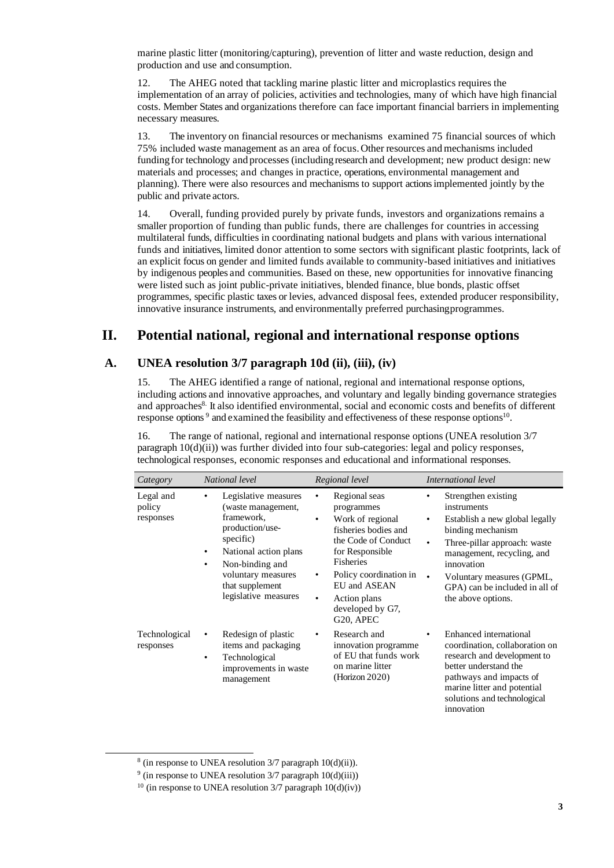marine plastic litter (monitoring/capturing), prevention of litter and waste reduction, design and production and use and consumption.

12. The AHEG noted that tackling marine plastic litter and microplastics requires the implementation of an array of policies, activities and technologies, many of which have high financial costs. Member States and organizations therefore can face important financial barriers in implementing necessary measures.

13. The inventory on financial resources or mechanisms examined 75 financial sources of which 75% included waste management as an area of focus.Other resources andmechanisms included fundingfor technology and processes (includingresearch and development; new product design: new materials and processes; and changes in practice, operations, environmental management and planning). There were also resources and mechanisms to support actions implemented jointly by the public and private actors.

14. Overall, funding provided purely by private funds, investors and organizations remains a smaller proportion of funding than public funds, there are challenges for countries in accessing multilateral funds, difficulties in coordinating national budgets and plans with various international funds and initiatives, limited donor attention to some sectors with significant plastic footprints, lack of an explicit focus on gender and limited funds available to community-based initiatives and initiatives by indigenous peoples and communities. Based on these, new opportunities for innovative financing were listed such as joint public-private initiatives, blended finance, blue bonds, plastic offset programmes, specific plastic taxes or levies, advanced disposal fees, extended producer responsibility, innovative insurance instruments, and environmentally preferred purchasingprogrammes.

## **II. Potential national, regional and international response options**

### **A. UNEA resolution 3/7 paragraph 10d (ii), (iii), (iv)**

15. The AHEG identified a range of national, regional and international response options, including actions and innovative approaches, and voluntary and legally binding governance strategies and approaches<sup>8.</sup> It also identified environmental, social and economic costs and benefits of different response options<sup>9</sup> and examined the feasibility and effectiveness of these response options<sup>10</sup>.

16. The range of national, regional and international response options (UNEA resolution 3/7 paragraph 10(d)(ii)) was further divided into four sub-categories: legal and policy responses, technological responses, economic responses and educational and informational responses.

| Category                         | National level                                                                                                                                                                                                                  | Regional level                                                                                                                                                                                                                                                            | International level                                                                                                                                                                                                                                                                                    |
|----------------------------------|---------------------------------------------------------------------------------------------------------------------------------------------------------------------------------------------------------------------------------|---------------------------------------------------------------------------------------------------------------------------------------------------------------------------------------------------------------------------------------------------------------------------|--------------------------------------------------------------------------------------------------------------------------------------------------------------------------------------------------------------------------------------------------------------------------------------------------------|
| Legal and<br>policy<br>responses | Legislative measures<br>(waste management,<br>framework,<br>production/use-<br>specific)<br>National action plans<br>$\bullet$<br>Non-binding and<br>$\bullet$<br>voluntary measures<br>that supplement<br>legislative measures | Regional seas<br>٠<br>programmes<br>Work of regional<br>٠<br>fisheries bodies and<br>the Code of Conduct<br>for Responsible<br>Fisheries<br>Policy coordination in<br>٠<br><b>EU</b> and ASEAN<br>Action plans<br>$\bullet$<br>developed by G7,<br>G <sub>20</sub> , APEC | Strengthen existing<br>٠<br>instruments<br>Establish a new global legally<br>$\bullet$<br>binding mechanism<br>Three-pillar approach: waste<br>$\bullet$<br>management, recycling, and<br>innovation<br>$\bullet$<br>Voluntary measures (GPML,<br>GPA) can be included in all of<br>the above options. |
| Technological<br>responses       | Redesign of plastic<br>٠<br>items and packaging<br>Technological<br>$\bullet$<br>improvements in waste<br>management                                                                                                            | Research and<br>٠<br>innovation programme<br>of EU that funds work<br>on marine litter<br>(Horizon 2020)                                                                                                                                                                  | Enhanced international<br>$\bullet$<br>coordination, collaboration on<br>research and development to<br>better understand the<br>pathways and impacts of<br>marine litter and potential<br>solutions and technological<br>innovation                                                                   |

<sup>8</sup> (in response to UNEA resolution 3/7 paragraph 10(d)(ii)).

 $9$  (in response to UNEA resolution 3/7 paragraph  $10(d)(iii)$ )

<sup>&</sup>lt;sup>10</sup> (in response to UNEA resolution  $3/7$  paragraph  $10(d)(iv)$ )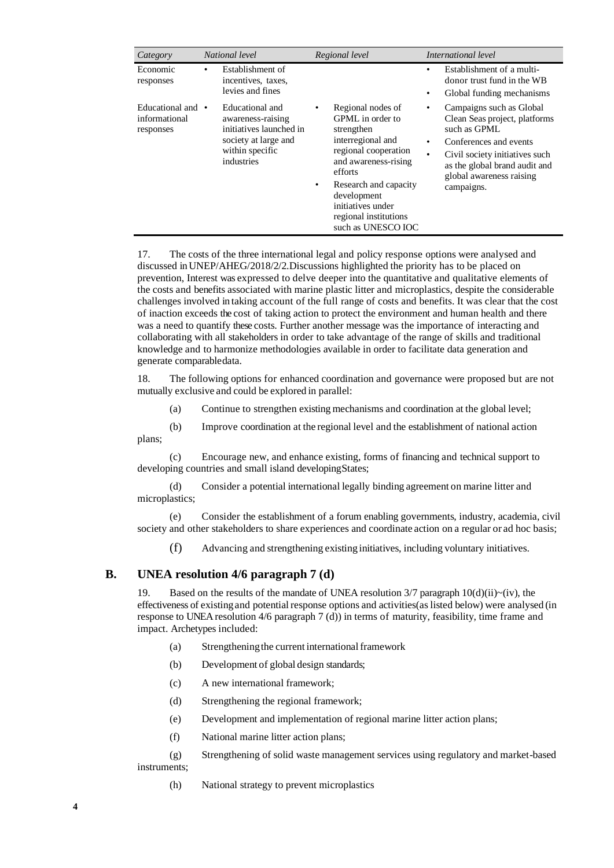| Category                                      | National level                                                                                                           | Regional level                                                                                                                                                                                                                                            | International level                                                                                                                                                                                                                             |
|-----------------------------------------------|--------------------------------------------------------------------------------------------------------------------------|-----------------------------------------------------------------------------------------------------------------------------------------------------------------------------------------------------------------------------------------------------------|-------------------------------------------------------------------------------------------------------------------------------------------------------------------------------------------------------------------------------------------------|
| Economic<br>responses                         | Establishment of<br>٠<br>incentives, taxes,<br>levies and fines                                                          |                                                                                                                                                                                                                                                           | Establishment of a multi-<br>٠<br>donor trust fund in the WB<br>Global funding mechanisms<br>$\bullet$                                                                                                                                          |
| Educational and<br>informational<br>responses | Educational and<br>awareness-raising<br>initiatives launched in<br>society at large and<br>within specific<br>industries | Regional nodes of<br>٠<br>GPML in order to<br>strengthen<br>interregional and<br>regional cooperation<br>and awareness-rising<br>efforts<br>Research and capacity<br>٠<br>development<br>initiatives under<br>regional institutions<br>such as UNESCO IOC | Campaigns such as Global<br>$\bullet$<br>Clean Seas project, platforms<br>such as GPML<br>Conferences and events<br>$\bullet$<br>Civil society initiatives such<br>٠<br>as the global brand audit and<br>global awareness raising<br>campaigns. |

17. The costs of the three international legal and policy response options were analysed and discussed in UNEP/AHEG/2018/2/2.Discussions highlighted the priority has to be placed on prevention, Interest was expressed to delve deeper into the quantitative and qualitative elements of the costs and benefits associated with marine plastic litter and microplastics, despite the considerable challenges involved in taking account of the full range of costs and benefits. It was clear that the cost of inaction exceeds the cost of taking action to protect the environment and human health and there was a need to quantify these costs. Further another message was the importance of interacting and collaborating with all stakeholders in order to take advantage of the range of skills and traditional knowledge and to harmonize methodologies available in order to facilitate data generation and generate comparabledata.

18. The following options for enhanced coordination and governance were proposed but are not mutually exclusive and could be explored in parallel:

(a) Continue to strengthen existing mechanisms and coordination at the global level;

(b) Improve coordination at the regional level and the establishment of national action plans;

(c) Encourage new, and enhance existing, forms of financing and technical support to developing countries and small island developingStates;

(d) Consider a potential international legally binding agreement on marine litter and microplastics;

(e) Consider the establishment of a forum enabling governments, industry, academia, civil society and other stakeholders to share experiences and coordinate action on a regular or ad hoc basis;

(f) Advancing and strengthening existing initiatives, including voluntary initiatives.

#### **B. UNEA resolution 4/6 paragraph 7 (d)**

Based on the results of the mandate of UNEA resolution  $3/7$  paragraph  $10(d)(ii)~(iv)$ , the effectiveness of existingand potential response options and activities(aslisted below) were analysed (in response to UNEA resolution 4/6 paragraph 7 (d)) in terms of maturity, feasibility, time frame and impact. Archetypes included:

- (a) Strengthening the current international framework
- (b) Development of global design standards;
- (c) A new international framework;
- (d) Strengthening the regional framework;
- (e) Development and implementation of regional marine litter action plans;
- (f) National marine litter action plans;

(g) Strengthening of solid waste management services using regulatory and market-based

#### instruments;

(h) National strategy to prevent microplastics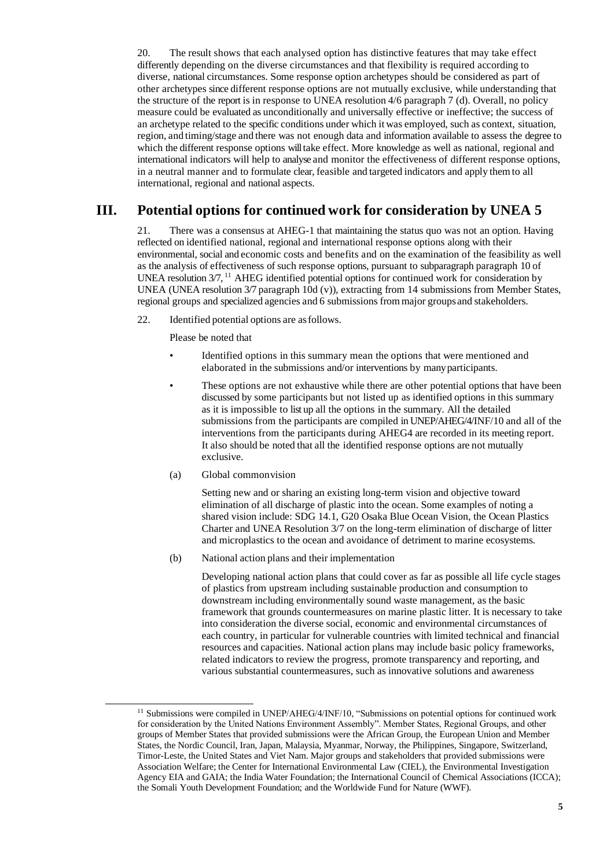20. The result shows that each analysed option has distinctive features that may take effect differently depending on the diverse circumstances and that flexibility is required according to diverse, national circumstances. Some response option archetypes should be considered as part of other archetypes since different response options are not mutually exclusive, while understanding that the structure of the report is in response to UNEA resolution 4/6 paragraph 7 (d). Overall, no policy measure could be evaluated as unconditionally and universally effective or ineffective; the success of an archetype related to the specific conditions under which it was employed, such as context, situation, region, and timing/stage and there was not enough data and information available to assess the degree to which the different response options will take effect. More knowledge as well as national, regional and international indicators will help to analyse and monitor the effectiveness of different response options, in a neutral manner and to formulate clear, feasible and targeted indicators and apply themto all international, regional and national aspects.

### **III. Potential options for continued work for consideration by UNEA 5**

21. There was a consensus at AHEG-1 that maintaining the status quo was not an option. Having reflected on identified national, regional and international response options along with their environmental, social and economic costs and benefits and on the examination of the feasibility as well as the analysis of effectiveness of such response options, pursuant to subparagraph paragraph 10 of UNEA resolution 3/7, <sup>11</sup> AHEG identified potential options for continued work for consideration by UNEA (UNEA resolution 3/7 paragraph 10d (v)), extracting from 14 submissions from Member States, regional groups and specialized agencies and 6 submissions frommajor groups and stakeholders.

22. Identified potential options are asfollows.

Please be noted that

- Identified options in this summary mean the options that were mentioned and elaborated in the submissions and/or interventions by manyparticipants.
- These options are not exhaustive while there are other potential options that have been discussed by some participants but not listed up as identified options in this summary as it is impossible to list up all the options in the summary. All the detailed submissions from the participants are compiled in UNEP/AHEG/4/INF/10 and all of the interventions from the participants during AHEG4 are recorded in its meeting report. It also should be noted that all the identified response options are not mutually exclusive.
- (a) Global commonvision

Setting new and or sharing an existing long-term vision and objective toward elimination of all discharge of plastic into the ocean. Some examples of noting a shared vision include: SDG 14.1, G20 Osaka Blue Ocean Vision, the Ocean Plastics Charter and UNEA Resolution 3/7 on the long-term elimination of discharge of litter and microplastics to the ocean and avoidance of detriment to marine ecosystems.

(b) National action plans and their implementation

Developing national action plans that could cover as far as possible all life cycle stages of plastics from upstream including sustainable production and consumption to downstream including environmentally sound waste management, as the basic framework that grounds countermeasures on marine plastic litter. It is necessary to take into consideration the diverse social, economic and environmental circumstances of each country, in particular for vulnerable countries with limited technical and financial resources and capacities. National action plans may include basic policy frameworks, related indicators to review the progress, promote transparency and reporting, and various substantial countermeasures, such as innovative solutions and awareness

<sup>&</sup>lt;sup>11</sup> Submissions were compiled in UNEP/AHEG/4/INF/10, "Submissions on potential options for continued work for consideration by the United Nations Environment Assembly". Member States, Regional Groups, and other groups of Member States that provided submissions were the African Group, the European Union and Member States, the Nordic Council, Iran, Japan, Malaysia, Myanmar, Norway, the Philippines, Singapore, Switzerland, Timor-Leste, the United States and Viet Nam. Major groups and stakeholders that provided submissions were Association Welfare; the Center for International Environmental Law (CIEL), the Environmental Investigation Agency EIA and GAIA; the India Water Foundation; the International Council of Chemical Associations (ICCA); the Somali Youth Development Foundation; and the Worldwide Fund for Nature (WWF).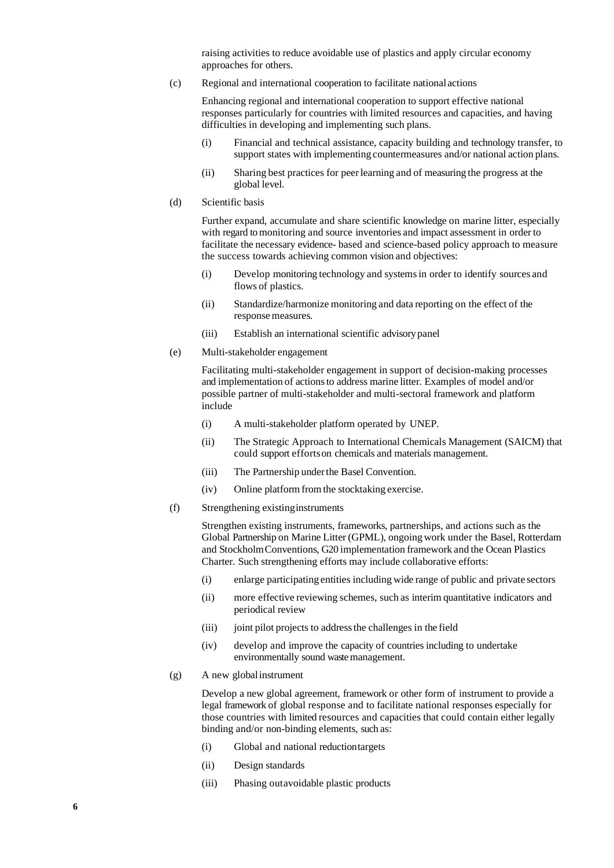raising activities to reduce avoidable use of plastics and apply circular economy approaches for others.

(c) Regional and international cooperation to facilitate national actions

Enhancing regional and international cooperation to support effective national responses particularly for countries with limited resources and capacities, and having difficulties in developing and implementing such plans.

- (i) Financial and technical assistance, capacity building and technology transfer, to support states with implementing countermeasures and/or national action plans.
- (ii) Sharing best practices for peerlearning and of measuring the progress at the global level.
- (d) Scientific basis

Further expand, accumulate and share scientific knowledge on marine litter, especially with regard to monitoring and source inventories and impact assessment in order to facilitate the necessary evidence- based and science-based policy approach to measure the success towards achieving common vision and objectives:

- (i) Develop monitoring technology and systemsin order to identify sources and flows of plastics.
- (ii) Standardize/harmonize monitoring and data reporting on the effect of the response measures.
- (iii) Establish an international scientific advisorypanel
- (e) Multi-stakeholder engagement

Facilitating multi-stakeholder engagement in support of decision-making processes and implementation of actionsto address marine litter. Examples of model and/or possible partner of multi-stakeholder and multi-sectoral framework and platform include

- (i) A multi-stakeholder platform operated by UNEP.
- (ii) The Strategic Approach to International Chemicals Management (SAICM) that could support effortson chemicals and materials management.
- (iii) The Partnership underthe Basel Convention.
- (iv) Online platform from the stocktaking exercise.
- (f) Strengthening existinginstruments

Strengthen existing instruments, frameworks, partnerships, and actions such as the Global Partnership on Marine Litter (GPML), ongoingwork under the Basel, Rotterdam and StockholmConventions, G20 implementation framework and the Ocean Plastics Charter. Such strengthening efforts may include collaborative efforts:

- (i) enlarge participating entities including wide range of public and private sectors
- (ii) more effective reviewing schemes, such as interim quantitative indicators and periodical review
- (iii) joint pilot projects to address the challenges in the field
- (iv) develop and improve the capacity of countries including to undertake environmentally sound waste management.
- (g) A new globalinstrument

Develop a new global agreement, framework or other form of instrument to provide a legal framework of global response and to facilitate national responses especially for those countries with limited resources and capacities that could contain either legally binding and/or non-binding elements, such as:

- (i) Global and national reductiontargets
- (ii) Design standards
- (iii) Phasing outavoidable plastic products